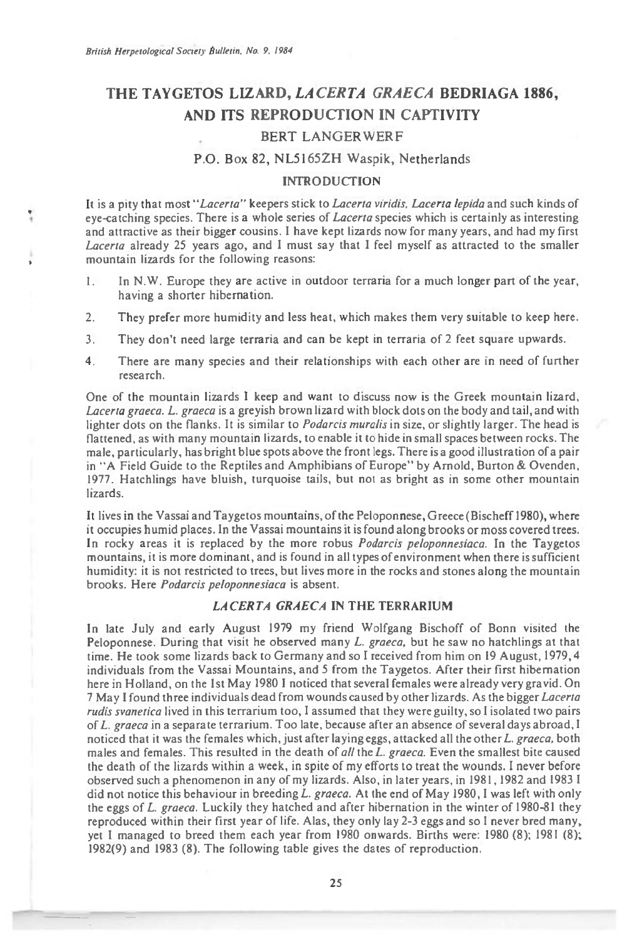# **THE TAYGETOS LIZARD,** *LACERTA GRAECA* **BEDRIAGA 1886, AND ITS REPRODUCTION IN CAPTIVITY**

## **BERT LANGERWERF**

## **P.O. Box 82, NL5165ZH Waspik, Netherlands**

### **INTRODUCTION**

It is a pity that most *"Lacerta"* keepers stick to *Lacerta viridis, Lacerta lepida* and such kinds of eye-catching species. There is a whole series of *Lacerta* species which is certainly as interesting and attractive as their bigger cousins. I have kept lizards now for many years, and had my first *Lacerta* already 25 years ago, and I must say that I feel myself as attracted to the smaller mountain lizards for the following reasons:

- 1. In N.W. Europe they are active in outdoor terraria for a much longer part of the year, having a shorter hibernation.
- 2. They prefer more humidity and less heat, which makes them very suitable to keep here.
- 3. They don't need large terraria and can be kept in terraria of 2 feet square upwards.
- 4. There are many species and their relationships with each other are in need of further research.

One of the mountain lizards I keep and want to discuss now is the Greek mountain lizard, *Lacerta graeca. L. graeca is* a greyish brown lizard with block dots on the body and tail, and with lighter dots on the flanks. It is similar to *Podarcis muralis* in size, or slightly larger. The head is flattened, as with many mountain lizards, to enable it to hide in small spaces between rocks. The male, particularly, has bright blue spots above the front legs. There is a good illustration of a pair in "A Field Guide to the Reptiles and Amphibians of Europe" by Arnold, Burton & Ovenden, 1977. Hatchlings have bluish, turquoise tails, but not as bright as in some other mountain lizards.

It lives in the Vassai and Taygetos mountains, of the Peloponnese, Greece (Bischeff 1980), where it occupies humid places. In the Vassai mountains it is found along brooks or moss covered trees. In rocky areas it is replaced by the more robus *Podarcis peloponnesiaca.* In the Taygetos mountains, it is more dominant, and is found in all types of environment when there is sufficient humidity: it is not restricted to trees, but lives more in the rocks and stones along the mountain brooks. Here *Podarcis peloponnesiaca* is absent.

#### *LACERTA GRAECA* **IN THE TERRARIUM**

In late July and early August 1979 my friend Wolfgang Bischoff of Bonn visited the Peloponnese. During that visit he observed many *L. graeca,* but he saw no hatchlings at that time. He took some lizards back to Germany and so I received from him on 19 August, 1979,4 individuals from the Vassai Mountains, and 5 from the Taygetos. After their first hibernation here in Holland, on the 1st May 1980 I noticed that several females were already very gravid. On 7 May I found three individuals dead from wounds caused by other lizards. As the bigger *Lacerta rudis svanetica* lived in this terrarium too, I assumed that they were guilty, so I isolated two pairs of *L. graeca in* a separate terrarium. Too late, because after an absence of several days abroad, I noticed that it was the females which, just after laying eggs, attacked all the other *L. graeca,* both males and females. This resulted in the death of *all the L. graeca.* Even the smallest bite caused the death of the lizards within a week, in spite of my efforts to treat the wounds. I never before observed such a phenomenon in any of my lizards. Also, in later years, in 1981, 1982 and 1983 I did not notice this behaviour in breeding *L. graeca. At* the end of May 1980, **I** was left with only the eggs of *L. graeca.* Luckily they hatched and after hibernation in the winter of 1980-81 they reproduced within their first year of life. Alas, they only lay 2-3 eggs and so I never bred many, yet I managed to breed them each year from 1980 onwards. Births were: 1980 (8); 1981 (8); 1982(9) and 1983 (8). The following table gives the dates of reproduction.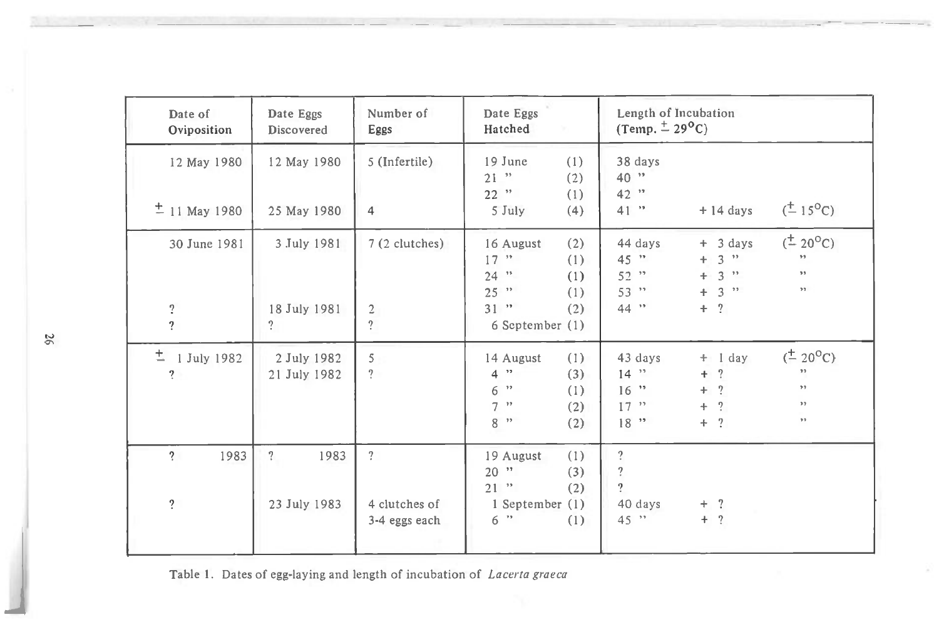| Date of<br>Oviposition                 | Date Eggs<br><b>Discovered</b>   | Number of<br>Eggs              | Date Eggs<br>Hatched                                                          | Length of Incubation<br>$(Temp. \pm 29^{\circ}C)$                                                                                                                                                                                                     |
|----------------------------------------|----------------------------------|--------------------------------|-------------------------------------------------------------------------------|-------------------------------------------------------------------------------------------------------------------------------------------------------------------------------------------------------------------------------------------------------|
| 12 May 1980                            | 12 May 1980                      | 5 (Infertile)                  | 19 June<br>(1)<br>$21$ "<br>(2)<br>$22$ "<br>(1)                              | 38 days<br>40 "<br>42 "                                                                                                                                                                                                                               |
| $±$ 11 May 1980                        | 25 May 1980                      | $\overline{4}$                 | (4)<br>5 July                                                                 | $(\pm 15^{\circ}C)$<br>$41$ "<br>$+14 \text{ days}$                                                                                                                                                                                                   |
| 30 June 1981                           | 3 July 1981                      | 7 (2 clutches)                 | (2)<br>16 August<br>17"<br>(1)<br>$24$ "<br>(1)<br>$25$ "<br>(1)              | $({}^{\pm}$ 20 <sup>o</sup> C)<br>44 days<br>$+$ 3 days<br>$3^{22}$<br>45 "<br>22<br>$+$<br>$+3$ "<br>33<br>$52$ $"$<br>$\gamma\gamma$<br>$53$ "<br>3"<br>$+$                                                                                         |
| $\overline{\cdot}$<br>$\overline{?}$   | 18 July 1981<br>$\gamma$         | 2<br>$\overline{\cdot}$        | $31$ "<br>(2)<br>6 September (1)                                              | $\gamma$<br>44 "<br>$+$                                                                                                                                                                                                                               |
| $\pm$<br>1 July 1982<br>$\overline{?}$ | 2 July 1982<br>21 July 1982      | 5<br>$\overline{\mathcal{C}}$  | (1)<br>14 August<br>4"<br>(3)<br>$6$ "<br>(1)<br>7"<br>(2)<br>$8^{22}$<br>(2) | $(1 + 20^{\circ}C)$<br>43 days<br>$+$ 1 day<br>$9.9$<br>$14$ $"$<br>$\gamma$<br>$+$<br>$\rightarrow$ $\rightarrow$<br>$\overline{?}$<br>$16$ "<br>$^{+}$<br>$\rightarrow$ $\rightarrow$<br>$17$ $"$<br>$\overline{2}$<br>$+$<br>22<br>$18$ "<br>$+$ ? |
| $\gamma$<br>1983                       | $\overline{\mathcal{E}}$<br>1983 | $\overline{?}$                 | (1)<br>19 August<br>$20$ "<br>(3)<br>$21$ "<br>(2)                            | $\overline{?}$<br>$\ddot{?}$<br>$\overline{?}$                                                                                                                                                                                                        |
| $\overline{\mathcal{E}}$               | 23 July 1983                     | 4 clutches of<br>3-4 eggs each | 1 September (1)<br>$6$ "<br>(1)                                               | $+$ ?<br>40 days<br>$45$ $"$<br>$+$ ?                                                                                                                                                                                                                 |

Table 1. Dates of egg-laying and length of incubation of *Lacerta graeca* 

97